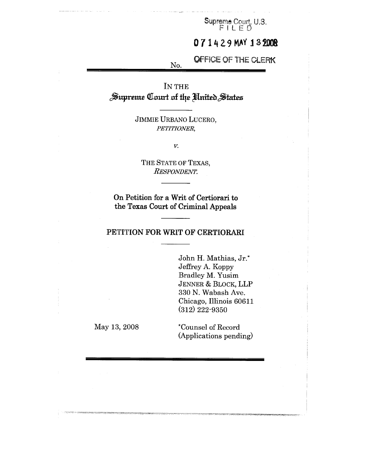Supreme Court, U.S.

# 071429 MAY 132008

# **OFFICE OF THE CLERK**

IN THE<br>**Supreme Court of the United States** 

No.

JIMMIE URBANO LUCERO, *PETITZONER,*

V.

THE STATE OF TEXAS,  $R$ *ESPONDENT.* 

On Petition for a Writ of Certiorari to the Texas Court of Criminal Appeals

## **PETITION FOR WRIT OF CERTIORARI**

John H. Mathias, Jr.\* Jeffrey A. Koppy Bradley M. Yusim JENNER & BLOCK, LLP 330 N. Wabash Ave. Chicago, Illinois 60611 (312) 222-9350

May 13, 2008

\*Counsel of Record (Applications pending)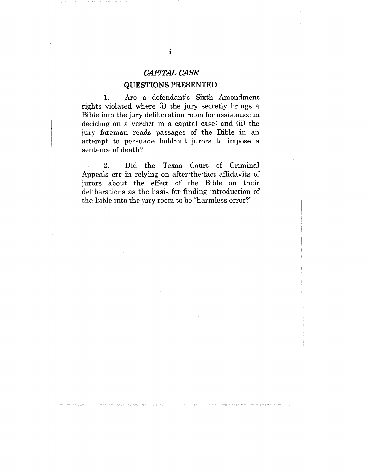## *CAPITAL CASE*

## **QUESTIONS PRESENTED**

1. Are a defendant's Sixth Amendment rights violated where (i) the jury secretly brings a Bible into the jury deliberation room for assistance in deciding on a verdict in a capital case; and (ii) the jury foreman reads passages of the Bible in an attempt to persuade hold-out jurors to impose a sentence of death?

2. Did the Texas Court of Criminal Appeals err in relying on after-the-fact affidavits of jurors about the effect of the Bible on their deliberations as the basis for finding introduction of the Bible into the jury room to be "harmless error?"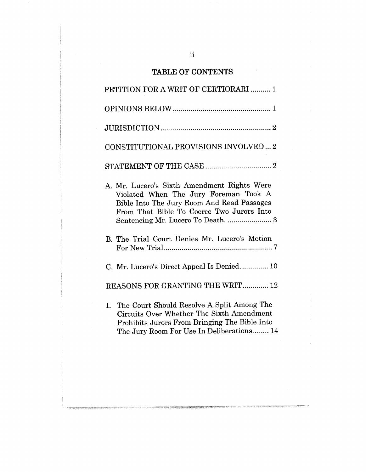# TABLE OF CONTENTS

| PETITION FOR A WRIT OF CERTIORARI  1                                                                                                                                                     |
|------------------------------------------------------------------------------------------------------------------------------------------------------------------------------------------|
|                                                                                                                                                                                          |
|                                                                                                                                                                                          |
| CONSTITUTIONAL PROVISIONS INVOLVED 2                                                                                                                                                     |
|                                                                                                                                                                                          |
| A. Mr. Lucero's Sixth Amendment Rights Were<br>Violated When The Jury Foreman Took A<br>Bible Into The Jury Room And Read Passages<br>From That Bible To Coerce Two Jurors Into          |
| B. The Trial Court Denies Mr. Lucero's Motion                                                                                                                                            |
| C. Mr. Lucero's Direct Appeal Is Denied 10                                                                                                                                               |
| REASONS FOR GRANTING THE WRIT 12                                                                                                                                                         |
| I. The Court Should Resolve A Split Among The<br>Circuits Over Whether The Sixth Amendment<br>Prohibits Jurors From Bringing The Bible Into<br>The Jury Room For Use In Deliberations 14 |
|                                                                                                                                                                                          |

**SOUTH & PORTLANDS THE UNITED STATES OF A STATE OF THE POINT OF A STATE OF A STATE OF A STATE OF A ST**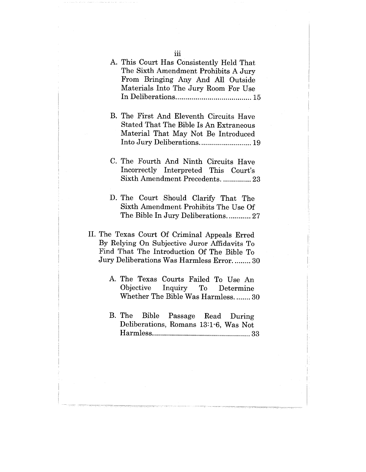| Materials into The Jury Room For Use                                                                                                                                                      |
|-------------------------------------------------------------------------------------------------------------------------------------------------------------------------------------------|
| B. The First And Eleventh Circuits Have<br>Stated That The Bible Is An Extraneous<br>Material That May Not Be Introduced<br>Into Jury Deliberations 19                                    |
| C. The Fourth And Ninth Circuits Have<br>Incorrectly Interpreted This Court's<br>Sixth Amendment Precedents.  23                                                                          |
| D. The Court Should Clarify That The<br>Sixth Amendment Prohibits The Use Of<br>The Bible In Jury Deliberations 27                                                                        |
| II. The Texas Court Of Criminal Appeals Erred<br>By Relying On Subjective Juror Affidavits To<br>Find That The Introduction Of The Bible To<br>Jury Deliberations Was Harmless Error.  30 |
| A. The Texas Courts Failed To Use An<br>Objective Inquiry To Determine<br>Whether The Bible Was Harmless.  30                                                                             |
| B. The<br>Bible Passage Read During<br>Deliberations, Romans 13:1-6, Was Not                                                                                                              |
|                                                                                                                                                                                           |

A. This Court Has Consistently Held That The Sixth Amendment Prohibits A Jury From Bringing Any And All Outsid Materials Into The Jury Room For Us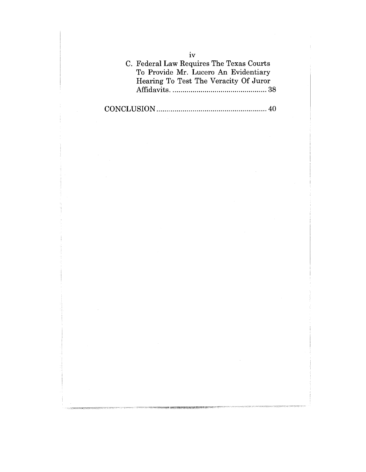C. Federal Law Requires The Texas Courts To Provide Mr. Lucero An Evidentiary Hearing To Test The Veracity Of Juror Affidavits ................................................. 38

CONCLUSION ....................................................... 40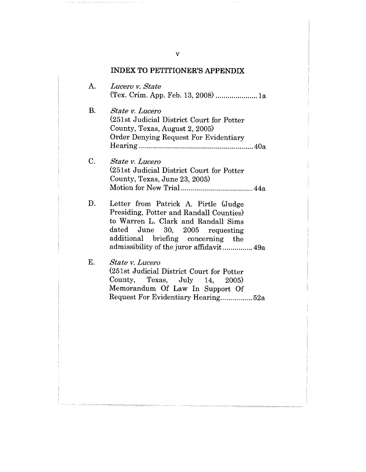#### **INDEX TO PETITIONER'S APPENDIX**

- $A.$ *Lueero v. State* (Tex. Crim. App. Feb. 13, 2008) .....................la
- $B<sub>c</sub>$ *State v. Lueero* (251st Judicial District Court for Potter County, Texas, August 2, 2005) Order Denying Request For Evidentiary Hearing .........................................................40a
- $C<sub>r</sub>$ *State y. Lueero* (251st Judicial District Court for Potter County, Texas, June 23, 2005) Motion for New Trial ....................................44a

 $D<sub>r</sub>$ Letter from Patrick A. Pirtle (Judge Presiding, Potter and Randall Counties) to Warren L. Clark and Randall Sims dated June 30, 2005 requesting additional briefing concerning the admissibility of the juror affidavit ............... 49a

 $E.$ 

*State v. Lueero* (251st Judicial District Court for Potter County, Texas, July 14.  $2005$ Memorandum Of Law In Support Of Request For Evidentiary Hearing ................ 52a

V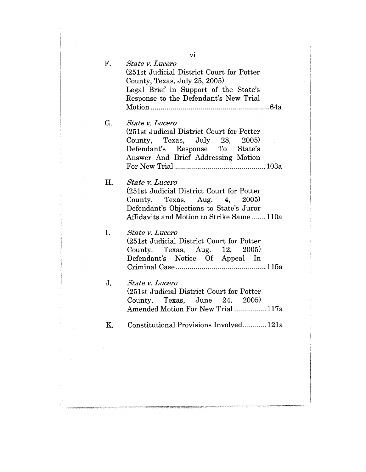| $F_{\cdot}$ | VI<br><i>State v. Lucero</i><br>(251st Judicial District Court for Potter<br>County, Texas, July 25, 2005)<br>Legal Brief in Support of the State's<br>Response to the Defendant's New Trial |
|-------------|----------------------------------------------------------------------------------------------------------------------------------------------------------------------------------------------|
| G.          | State v. Lucero<br>(251st Judicial District Court for Potter<br>County, Texas, July 28, 2005)<br>Defendant's Response To State's<br>Answer And Brief Addressing Motion                       |
| Η.          | <i>State v. Lucero</i><br>(251st Judicial District Court for Potter<br>County, Texas, Aug. 4, 2005)<br>Defendant's Objections to State's Juror<br>Affidavits and Motion to Strike Same110a   |
| I.          | <i>State v. Lucero</i><br>(251st Judicial District Court for Potter<br>County, Texas, Aug. 12, 2005)<br>Defendant's Notice Of Appeal In                                                      |
| J.          | <i>State v. Lucero</i><br>(251st Judicial District Court for Potter)<br>County, Texas, June 24, 2005)<br>Amended Motion For New Trial  117a                                                  |
| Κ.          | Constitutional Provisions Involved 121a                                                                                                                                                      |
|             |                                                                                                                                                                                              |

ng mpa isang matanggunan na ang

vi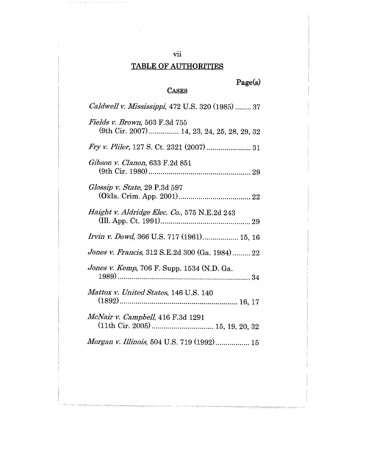# vii **TABLE OF AUTHORITIES**

**Page(s)**

# **CASES**

| Caldwell v. Mississippi, 472 U.S. 320 (1985)  37                             |
|------------------------------------------------------------------------------|
| Fields v. Brown, 503 F.3d 755<br>(9th Cir. 2007)  14, 23, 24, 25, 28, 29, 32 |
|                                                                              |
| Gibson v. Clanon, 633 F.2d 851                                               |
| Glossip v. State, 29 P.3d 597                                                |
| Haight v. Aldridge Elec. Co., 575 N.E.2d 243                                 |
| Irvin v. Dowd, 366 U.S. 717 (1961) 15, 16                                    |
| Jones v. Francis, 312 S.E.2d 300 (Ga. 1984) 22                               |
| Jones v. Kemp, 706 F. Supp. 1534 (N.D. Ga.                                   |
| Mattox v. United States, 146 U.S. 140                                        |
| McNair v. Campbell, 416 F.3d 1291                                            |
| <i>Morgan v. Illinois</i> , 504 U.S. 719 (1992) 15                           |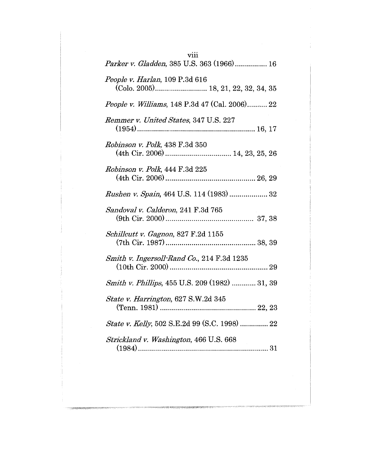| viii<br>Parker v. Gladden, 385 U.S. 363 (1966) 16                     |
|-----------------------------------------------------------------------|
|                                                                       |
| People v. Harlan, 109 P.3d 616<br>(Colo. 2005) 18, 21, 22, 32, 34, 35 |
| <i>People v. Williams</i> , 148 P.3d 47 (Cal. 2006) 22                |
| Remmer v. United States, 347 U.S. 227                                 |
| Robinson v. Polk, 438 F.3d 350                                        |
| Robinson v. Polk, 444 F.3d 225                                        |
|                                                                       |
| Sandoval v. Calderon, 241 F.3d 765                                    |
| Schillcutt v. Gagnon, 827 F.2d 1155                                   |
| Smith v. Ingersoll-Rand Co., 214 F.3d 1235                            |
| Smith v. Phillips, 455 U.S. 209 (1982)  31, 39                        |
| State v. Harrington, 627 S.W.2d 345                                   |
| State v. Kelly, 502 S.E.2d 99 (S.C. 1998)  22                         |
| Strickland v. Washington, 466 U.S. 668                                |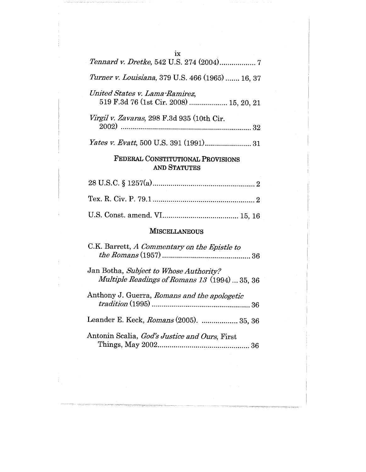| ix                                                                                      |  |  |  |
|-----------------------------------------------------------------------------------------|--|--|--|
|                                                                                         |  |  |  |
| Turner v. Louisiana, 379 U.S. 466 (1965)  16, 37                                        |  |  |  |
| United States v. Lama-Ramirez,<br>519 F.3d 76 (1st Cir. 2008)  15, 20, 21               |  |  |  |
| Virgil v. Zavaras, 298 F.3d 935 (10th Cir.                                              |  |  |  |
|                                                                                         |  |  |  |
| FEDERAL CONSTITUTIONAL PROVISIONS<br><b>AND STATUTES</b>                                |  |  |  |
|                                                                                         |  |  |  |
|                                                                                         |  |  |  |
|                                                                                         |  |  |  |
| <b>MISCELLANEOUS</b>                                                                    |  |  |  |
| C.K. Barrett, A Commentary on the Epistle to<br>36                                      |  |  |  |
| Jan Botha, Subject to Whose Authority?<br>Multiple Readings of Romans 13 (1994)  35, 36 |  |  |  |
| Anthony J. Guerra, Romans and the apologetic<br>36                                      |  |  |  |
| Leander E. Keck, Romans (2005).  35, 36                                                 |  |  |  |
| Antonin Scalia, God's Justice and Ours, First                                           |  |  |  |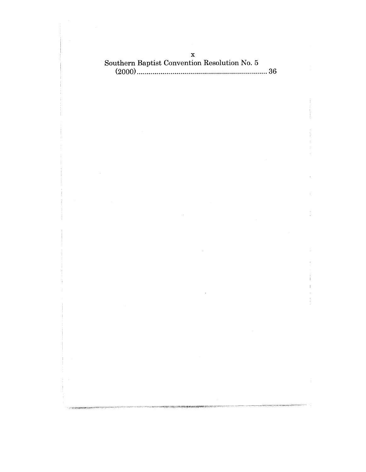# X Southern Baptist Convention Resolution No. 5 (2000) ..................................................................36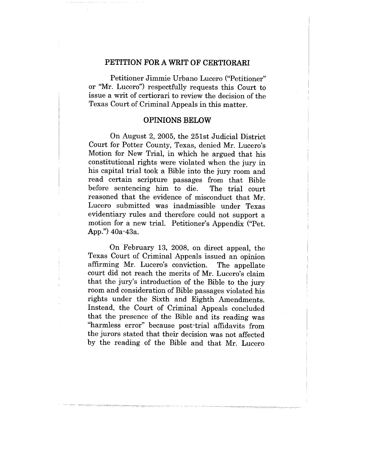## **PETITION FOR A WRIT OF CERTIORARI**

Petitioner Jimmie Urbano Lucero ("Petitioner" or "Mr. Lucero") respectfully requests this Court to issue a writ of certiorari to review the decision of the Texas Court of Criminal Appeals in this matter.

#### **OPINIONS BELOW**

On August 2, 2005, the 251st Judicial District Court for Potter County, Texas, denied Mr. Lucero's Motion for New Trial, in which he argued that his constitutional rights were violated when the jury in his capital trial took a Bible into the jury room and read certain scripture passages from that Bible before sentencing him to die. The trial court reasoned that the evidence of misconduct that Mr. Lucero submitted was inadmissible under Texas evidentiary rules and therefore could not support a motion for a new trial. Petitioner's Appendix ("Pet. App.") 40a-43a.

On February 13, 2008, on direct appeal, the Texas Court of Criminal Appeals issued an opinion affirming Mr. Lucero's conviction. The appellate court did not reach the merits of Mr. Lucero's claim that the jury's introduction of the Bible to the jury room and consideration of Bible passages violated his rights under the Sixth and Eighth Amendments. Instead, the Court of Criminal Appeals concluded that the presence of the Bible and its reading was "harmless error" because post-trial affidavits from the jurors stated that their decision was not affected by the reading of the Bible and that Mr. Lucero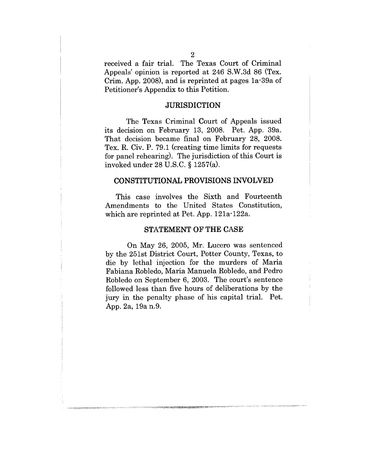received a fair trial. The Texas Court of Criminal Appeals' opinion is reported at 246 S.W.3d 86 (Tex. Crim. App. 2008), and is reprinted at pages la-39a of Petitioner's Appendix to this Petition.

## **JURISDICTION**

The Texas Criminal Court of Appeals issued its decision on February 13, 2008. Pet. App. 39a. That decision became final on February 28, 2008. Tex. R. Civ. P. 79.1 (creating time limits for requests for panel rehearing). The jurisdiction of this Court is invoked under 28 U.S.C. § 1257(a).

#### CONSTITUTIONAL PROVISIONS INVOLVED

This case involves the Sixth and Fourteenth Amendments to the United States Constitution, which are reprinted at Pet. App. 121a-122a.

#### **STATEMENT OF THE CASE**

On May 26, 2005, Mr. Lucero was sentenced by the 251st District Court, Potter County, Texas, to die by lethal injection for the murders of Maria Fabiana Robledo, Maria Manuela Robledo, and Pedro Robledo on September 6, 2003. The court's sentence followed less than five hours of deliberations by the jury in the penalty phase of his capital trial. Pet. App. 2a, 19a n.9.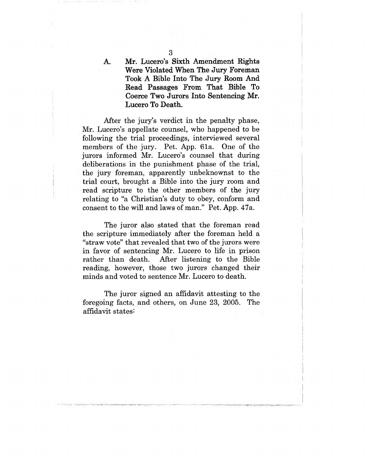Mr. Lucero's Sixth Amendment Rights A. **Were** Violated When The Jury **Foreman** Took A Bible Into The Jury Room And Read Passages From That Bible To Coerce Two Jurors Into Sentencing Mr. Lucero To Death.

After the jury's verdict in the penalty phase, Mr. Lucero's appellate counsel, who happened to be following the trial proceedings, interviewed several members of the jury. Pet. App. 61a. One of the jurors informed Mr. Lucero's counsel that during deliberations in the punishment phase of the trial, the jury foreman, apparently unbeknownst to the trial court, brought a Bible into the jury room and read scripture to the other members of the jury relating to "a Christian's duty to obey, conform and consent to the will and laws of man." Pet. App. 47a.

The juror also stated that the foreman read the scripture immediately after the foreman held a "straw vote" that revealed that two of the jurors were in favor of sentencing Mr. Lucero to life in prison rather than death. After listening to the Bible reading, however, those two jurors changed their minds and voted to sentence Mr. Lucero to death.

The juror signed an affidavit attesting to the foregoing facts, and others, on June 23, 2005. The affidavit states: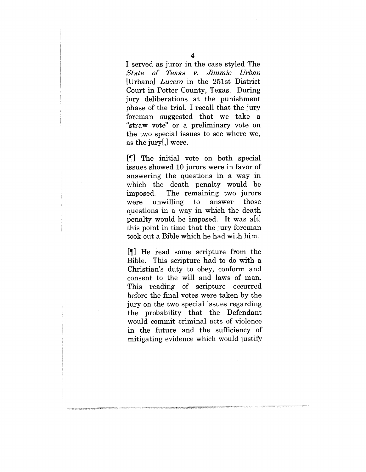I served as juror in the case styled The *State o£ Texa~ v. Jimmie Urban* [Urbano] *Lucero* in the 251st District Court in Potter County, Texas. During jury deliberations at the punishment phase of the trial, I recall that the jury foreman suggested that we take a "straw vote" or a preliminary vote on the two special issues to see where we, as the jury[,] were.

[¶] The initial vote on both special issues showed 10 jurors were in favor of answering the questions in a way in which the death penalty would be imposed. The remaining two jurors were unwilling to answer those questions in a way in which the death penalty would be imposed. It was a[t] this point in time that the jury foreman took out a Bible which he had with him.

[¶] He read some scripture from the Bible. This scripture had to do with a Christian's duty to obey, conform and consent to the will and laws of man. This reading of scripture occurred before the final votes were taken by the jury on the two special issues regarding the probability that the Defendant would commit criminal acts of violence in the future and the sufficiency of mitigating evidence which would justify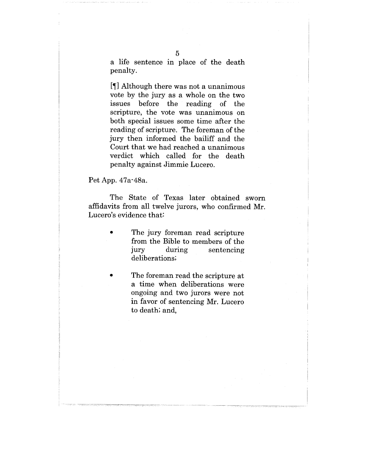a life sentence in place of the death penalty.

[¶] Although there was not a unanimous vote by the jury as a whole on the two issues before the reading of the scripture, the vote was unanimous on both special issues some time after the reading of scripture. The foreman of the jury then informed the bailiff and the Court that we had reached a unanimous verdict which called for the death penalty against Jimmie Lucero.

#### Pet App. 47a-48a.

The State of Texas later obtained sworn affidavits from all twelve jurors, who confirmed Mr. Lucero's evidence that:

- The jury foreman read scripture from the Bible to members of the jury during sentencing deliberations;
- The foreman read the scripture at a time when deliberations were ongoing and two jurors were not in favor of sentencing Mr. Lucero to death; and,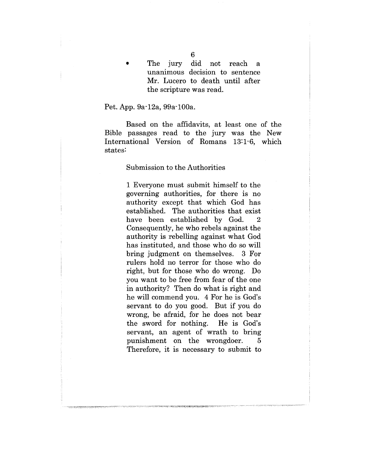#### Pet. App. 9a-12a, 99a-100a.

Based on the affidavits, at least one of the Bible passages read to the jury was the New International Version of Romans 13:1-6, which states:

#### Submission to the Authorities

1 Everyone must submit himself to the governing authorities, for there is no authority except that which God has established. The authorities that exist have been established by God. 2 Consequently, he who rebels against the authority is rebelling against what God has instituted, and those who do so will bring judgment on themselves. 3 For rulers hold no terror for those who do right, but for those who do wrong. Do you want to be free from fear of the one in authority? Then do what is right and he will commend you. 4 For he is God's servant to do you good. But if you do wrong, be afraid, for he does not bear the sword for nothing. He is God's servant, an agent of wrath to bring punishment on the wrongdoer. 5 Therefore, it is necessary to submit to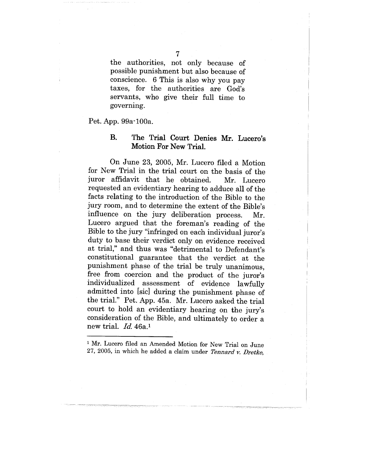the authorities, not only because of possible punishment but also because of conscience. 6 This is also why you pay taxes, for the authorities are God's servants, who give their full time to governing.

Pet. App. 99a-100a.

## B. The Trial Court Denies Mr. Lucero's Motion For New Trial.

On June 23, 2005, Mr. Lucero filed a Motion for New Trial in the trial court on the basis of the juror affidavit that he obtained. Mr. Lucero requested an evidentiary hearing to adduce all of the facts relating to the introduction of the Bible to the jury room, and to determine the extent of the Bible's influence on the jury deliberation process. Mr. Lucero argued that the foreman's reading of the Bible to the jury "infringed on each individual juror's duty to base their verdict only on evidence received at trial," and thus was "detrimental to Defendant's constitutional guarantee that the verdict at the punishment phase of the trial be truly unanimous, free from coercion and the product of the juror's individualized assessment of evidence lawfully admitted into [sic] during the punishment phase of the trial." Pet. App. 45a. Mr. Lucero asked the trial court to hold an evidentiary hearing on the jury's consideration of the Bible, and ultimately to order a new trial. *Id.* 46a.1

<sup>&</sup>lt;sup>1</sup> Mr. Lucero filed an Amended Motion for New Trial on June 27, 2005, in which he added a claim under *Tennard v. Dretke,*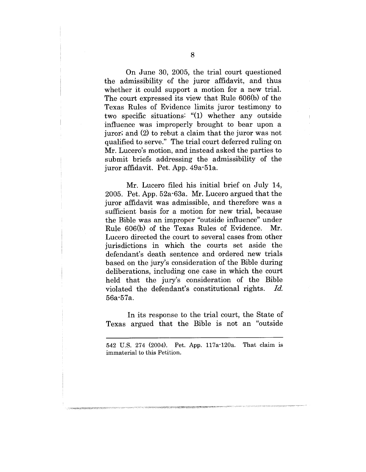On June 30, 2005, the trial court questioned the admissibility of the juror affidavit, and thus whether it could support a motion for a new trial. The court expressed its view that Rule 606(b) of the Texas Rules of Evidence limits juror testimony to two specific situations: "(1) whether any outside influence was improperly brought to bear upon a juror; and (2) to rebut a claim that the juror was not qualified to serve." The trial court deferred ruling on Mr. Lucero's motion, and instead asked the parties to submit briefs addressing the admissibility of the juror affidavit. Pet. App. 49a-51a.

Mr. Lucero filed his initial brief on July 14, 2005. Pet. App. 52a-63a. Mr. Lucero argued that the juror affidavit was admissible, and therefore was a sufficient basis for a motion for new trial, because the Bible was an improper "outside influence" under Rule 606(b) of the Texas Rules of Evidence. Mr. Lucero directed the court to several cases from other jurisdictions in which the courts set aside the defendant's death sentence and ordered new trials based on the jury's consideration of the Bible during deliberations, including one case in which the court held that the jury's consideration of the Bible violated the defendant's constitutional rights. *Id.* 56a-57a.

In its response to the trial court, the State of Texas argued that the Bible is not an "outside

542 U.S. 274 (2004). Pet. App. 117a-120a. That claim is immaterial to this Petition.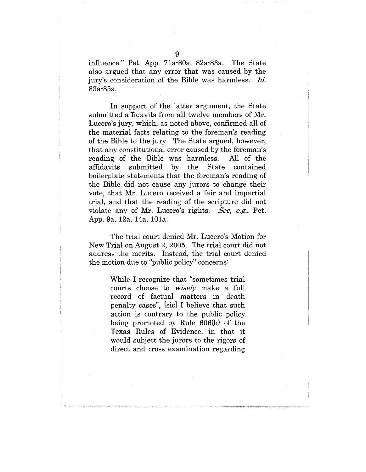influence." Pet. App. 71a-80a, 82a-83a. The State also argued that any error that was caused by the jury's consideration of the Bible was harmless. *Id.* 83a-85a.

In support of the latter argument, the State submitted affidavits from all twelve members of Mr. Lucero's jury, which, as noted above, confirmed all of the material facts relating to the foreman's reading of the Bible to the jury. The State argued, however, that any constitutional error caused by the foreman's reading of the Bible was harmless. All of the affidavits submitted by the State contained boilerplate statements that the foreman's reading of the Bible did not cause any jurors to change their vote, that Mr. Lucero received a fair and impartial trial, and that the reading of the scripture did not violate any of Mr. Lucero's rights. *See,* e.g., Pet. App. 9a, 12a, 14a, 101a.

The trial court denied Mr. Lucero's Motion for New Trial on August 2, 2005. The trial court did not address the merits. Instead, the trial court denied the motion due to "public policy" concerns:

> While I recognize that "sometimes trial courts choose to *wisely* make a full record of factual matters in death penalty cases", [sic] I believe that such action is contrary to the public policy being promoted by Rule 606(b) of the Texas Rules of Evidence, in that it would subject the jurors to the rigors of direct and cross examination regarding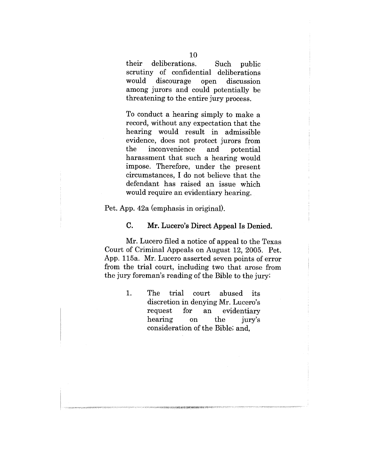their deliberations. Such public scrutiny of confidential deliberations would discourage open discussion among jurors and could potentially be threatening to the entire jury process.

To conduct a hearing simply to make a record, without any expectation that the hearing would result in admissible evidence, does not protect jurors from the inconvenience and potential harassment that such a hearing would impose. Therefore, under the present circumstances, I do not believe that the defendant has raised an issue which would require an evidentiary hearing.

Pet. App. 42a (emphasis in original).

## **C. Mr. Lucero's Direct Appeal Is Denied.**

Mr. Lucero filed a notice of appeal to the Texas Court of Criminal Appeals on August 12, 2005. Pet. App. 115a. Mr. Lucero asserted seven points of error from the trial court, including two that arose from the jury foreman's reading of the Bible to the jury:

> 1. The trial court abused its discretion in denying Mr. Lucero's request for an evidentiary hearing on the jury's consideration of the Bible; and,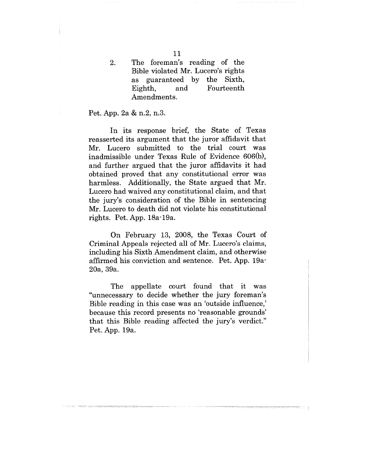The foreman's reading of the Bible violated Mr. Lucero's rights as guaranteed by the Sixth, Eighth, and Fourteenth Amendments.

### Pet. App. 2a & n.2, n.3.

2.

In its response brief, the State of Texas reasserted its argument that the juror affidavit that Mr. Lucero submitted to the trial court was inadmissible under Texas Rule of Evidence 606(b), and further argued that the juror affidavits it had obtained proved that any constitutional error was harmless. Additionally, the State argued that Mr. Lucero had waived any constitutional claim, and that the jury's consideration of the Bible in sentencing Mr. Lucero to death did not violate his constitutional rights. Pet. App. 18a-19a.

On February 13, 2008, the Texas Court of Criminal Appeals rejected all of Mr. Lucero's claims, including his Sixth Amendment claim, and otherwise affirmed his conviction and sentence. Pet. App. 19a-20a, 39a.

The appellate court found that it was "unnecessary to decide whether the jury foreman's Bible reading in this case was an 'outside influence,' because this record presents no 'reasonable grounds' that this Bible reading affected the jury's verdict." Pet. App. 19a.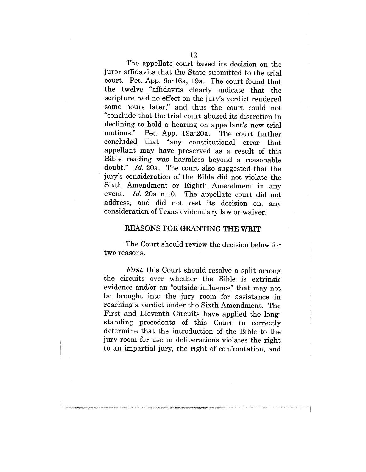The appellate court based its decision on the juror affidavits that the State submitted to the trial court. Pet. App. 9a-16a, 19a. The court found that the twelve "affidavits clearly indicate that the scripture had no effect on the jury's verdict rendered some hours later," and thus the court could not "conclude that the trial court abused its discretion in declining to hold a hearing on appellant's new trial motions." Pet. App. 19a-20a. The court further concluded that "any constitutional error that appellant may have preserved as a result of this Bible reading was harmless beyond a reasonable doubt." *Id.* 20a. The court also suggested that the jury's consideration, of the Bible did not violate the Sixth Amendment or Eighth Amendment in any event. *Id.* 20a n.10. The appellate court did not address, and did not rest its decision on, any consideration of Texas evidentiary law or waiver.

#### REASONS FOR GRANTING THE WRIT

The Court should review the decision below for two reasons.

*First,* this Court should resolve a split among the circuits over whether the Bible is extrinsic evidence and/or an "outside influence" that may not be brought into the jury room for assistance in reaching a verdict under the Sixth Amendment. The First and Eleventh Circuits have applied the longstanding precedents of this Court to correctly determine that the introduction of the Bible to the jury room for use in deliberations violates the right to an impartial jury, the right of confrontation, and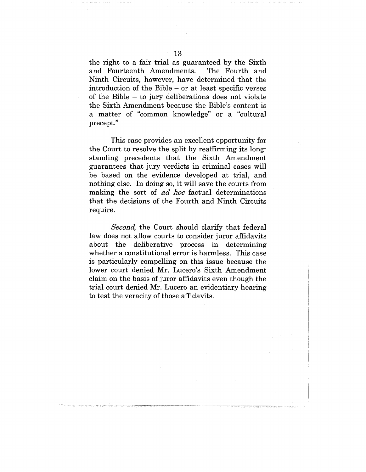the right to a fair trial as guaranteed by the Sixth and Fourteenth Amendments. The Fourth and Ninth Circuits, however, have determined that the introduction of the Bible - or at least specific verses of the Bible - to jury deliberations does not violate the Sixth Amendment because the Bible's content is a matter of "common knowledge" or a "cultural precept."

This case provides an excellent opportunity for the Court to resolve the split by reaffirming its longstanding precedents that the Sixth Amendment guarantees that jury verdicts in criminal cases will be based on the evidence developed at trial, and nothing else. In doing so, it will save the courts from making the sort of *ad hoc* factual determinations that the decisions of the Fourth and Ninth Circuits require.

*Second,* the Court should clarify that federal law does not allow courts to consider juror affidavits about the deliberative process in determining whether a constitutional error is harmless. This case is particularly compelling on this issue because the lower court denied Mr. Lucero's Sixth Amendment claim on the basis of juror affidavits even though the trial court denied Mr. Lucero an evidentiary hearing to test the veracity of those affidavits.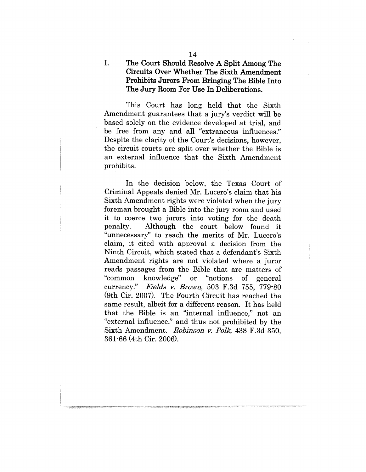# The Court Should Resolve A Split Among The Circuits Over Whether The Sixth Amendment Prohibits Jurors From Bringing The Bible Into The Jury Room For Use In Deliberations.

This Court has long held that the Sixth Amendment guarantees that a jury's verdict will be based solely on the evidence developed at trial, and be free from any and all "extraneous influences." Despite the clarity of the Court's decisions, however, the circuit courts are split over whether the Bible is an external influence that the Sixth Amendment prohibits.

In the decision below, the Texas Court of Criminal Appeals denied Mr. Lucero's claim that his Sixth Amendment rights were violated when the jury foreman brought a Bible into the jury room and used it to coerce two jurors into voting for the death penalty. Although the court below found it "unnecessary" to reach the merits of Mr. Lucero's claim, it cited with approval a decision from the Ninth Circuit, which stated that a defendant's Sixth Amendment rights are not violated where a juror reads passages from the Bible that are matters of "common knowledge" or "notions of general currency." Fields v. Brown, 503 F.3d 755, 779-80 (9th Cir. 2007). The Fourth Circuit has reached the same result, albeit for a different reason. It has held that the Bible is an "internal influence," not an "external influence," and thus not prohibited by the Sixth Amendment. *Robinson v. Polk*, 438 F.3d 350, 361-66 (4th Cir. 2006).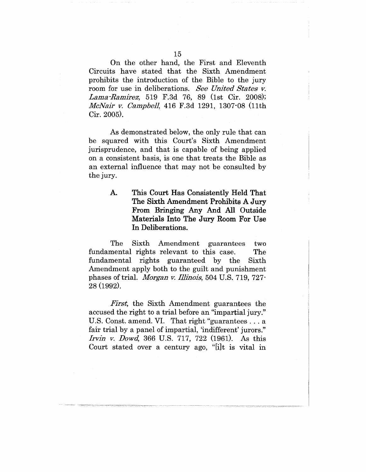On the other hand, the First and Eleventh Circuits have stated that the Sixth Amendment prohibits the introduction of the Bible to the jury room for use in deliberations. *See United States v. Lama-Ramirez,* 519 F.3d 76, 89 (lst Cir. 2008); *McNair v. Campbell*, 416 F.3d 1291, 1307-08 (11th Cir. 2005).

As demonstrated below, the only rule that can be squared with this Court's Sixth Amendment jurisprudence, and that is capable of being applied on a consistent basis, is one that treats the Bible as an external influence that may not be consulted by the jury.

> Ά. **This Court Has Consistently Held That The Sixth Amendment Prohibits A Jury From Bringing Any And All Outside Materials Into The Jury Room For Use In Deliberations.**

The Sixth Amendment guarantees two fundamental rights relevant to this case. The fundamental rights guaranteed by the Sixth Amendment apply both to the guilt and punishment phases of trial. *Morgan v. Illinois,* 504 U.S. 719, 727- 28 (1992).

*First,* the Sixth Amendment guarantees the accused the right to a trial before an "impartial jury." U.S. Const. amend. VI. That right "guarantees... a fair trial by a panel of impartial, 'indifferent' jurors." *Irvin v. Dowd,* 366 U.S. 717, 722 (1961). As this Court stated over a century ago, "[i]t is vital in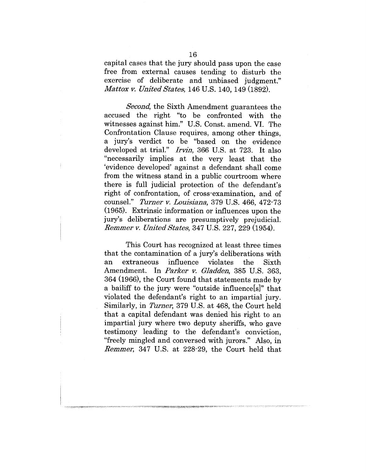capital cases that the jury should pass upon the case free from external causes tending to disturb the exercise of deliberate and unbiased judgment." *Mattox v. United States,* 146 U.S. 140, 149 (1892).

*Second,* the Sixth Amendment guarantees the accused the right "to be confronted with the witnesses against him." U.S. Const. amend. VI. The Confrontation Clause requires, among other things, a jury's verdict to be "based on the evidence developed at trial." *Irvin,* 366 U.S. at 723. It also "necessarily implies at the very least that the 'evidence developed' against a defendant shall come from the witness stand in a public courtroom where there is full judicial protection of the defendant's right of confrontation, of cross-examination, and of counsel." *Turner ~. Louisiana,* 379 U.S. 466, 472-73 (1965). Extrinsic information or influences upon the jury's deliberations are presumptively prejudicial. *Remmer v. United States, 347 U.S. 227, 229 (1954).* 

This Court has recognized at least three times that the contamination of a jury's deliberations with an extraneous influence violates the Sixth Amendment. In *Parker v. Gladden*, 385 U.S. 363, 364 (1966), the Court found that statements made by a bailiff to the jury were "outside influence[s]" that violated the defendant's right to an impartial jury. Similarly, in *Turner,* 379 U.S. at 468, the Court held that a capital defendant was denied his right to an impartial jury where two deputy sheriffs, who gave testimony leading to the defendant's conviction, "freely mingled and. conversed with jurors." Also, in *Remmer*, 347 U.S. at 228-29, the Court held that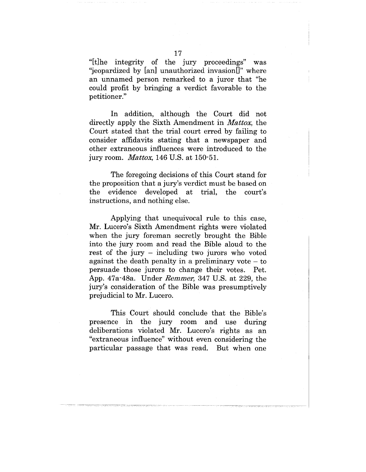"[t]he integrity of the jury proceedings" was "jeopardized by [an] unauthorized invasion[]" where an unnamed person remarked to a juror that "he could profit by bringing a verdict favorable to the petitioner."

In addition, although the Court did not directly apply the Sixth Amendment in *Mattox,* the Court stated that the trial court erred by failing to consider affidavits stating that a newspaper and other extraneous influences were introduced to the jury room. *Mattox,* 146 U.S. at 150-51.

The foregoing decisions of this Court stand for the proposition that a jury's verdict must be based on the evidence developed at trial, the court's instructions, and nothing else.

Applying that unequivocal rule to this case, Mr. Lucero's Sixth Amendment rights were violated when the jury foreman secretly brought the Bible into the jury room and read the Bible aloud to the rest of the jury - including two jurors who voted against the death penalty in a preliminary vote  $-$  to persuade those jurors to change their votes. Pet. App. 47a-48a. Under *Remmer*, 347 U.S. at 229, the jury's consideration of the Bible was presumptively prejudicial to Mr. Lucero.

This Court should conclude that the Bible's presence in the jury room and use during deliberations violated Mr. Lucero's rights as an "extraneous influence" without even considering the particular passage that was read. But when one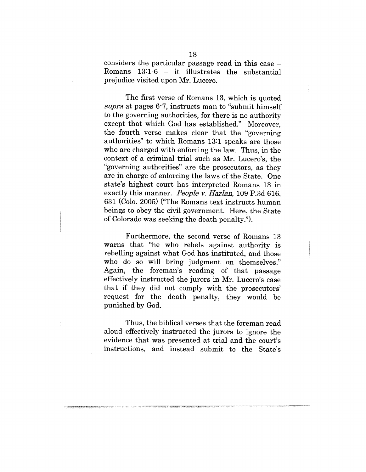considers the particular passage read in this case  $-$ Romans  $13:1-6$  - it illustrates the substantial prejudice visited upon Mr. Lucero.

The first verse of Romans 13, which is quoted *~upra* at pages 6-7, instructs man to "submit himself to the governing authorities, for there is no authority except that which God has established." Moreover, the fourth verse makes clear that the "governing authorities" to which Romans 13:1 speaks are those who are charged with enforcing the law. Thus, in the context of a criminal trial such as Mr. Lucero's, the "governing authorities" are the prosecutors, as they are in charge of enforcing the laws of the State. One state's highest court has interpreted Romans 13 in exactly this manner. *People v. Harlan*, 109 P.3d 616, 631 (Colo. 2005) ("The Romans text instructs human beings to obey the civil government. Here, the State of Colorado was seeking the death penalty.").

Furthermore, the second verse of Romans 13 warns that "he who rebels against authority is rebelling against what God has instituted, and those who do so will bring judgment on themselves." Again, the foreman's reading of that passage effectively instructed the jurors in Mr. Lucero's case that if they did not comply with the prosecutors' request for the death penalty, they would be punished by God.

Thus, the biblical verses that the foreman read aloud effectively instructed the jurors to ignore the evidence that was presented at trial and the court's instructions, and instead submit to the State's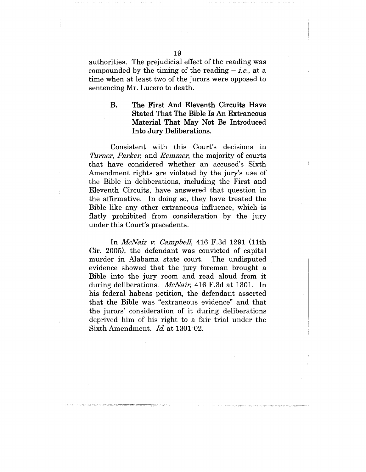authorities. The prejudicial effect of the reading was compounded by the timing of the reading - *i.e.,* at a time when at least two of the jurors were opposed to sentencing Mr. Lucero to death.

> **B.** The First And Eleventh Circuits Have Stated That The Bible Is An Extraneous Material That May Not Be Introduced Into Jury Deliberations.

Consistent with this Court's decisions in *Turner, Parker, and Remmer, the majority of courts* that have considered whether an accused's Sixth Amendment rights are violated by the jury's use of the Bible in deliberations, including the First and Eleventh Circuits, have answered that question in the affirmative. In doing so, they have treated the Bible like any other extraneous influence, which is flatly prohibited from consideration by the jury under this Court's precedents.

In *MeNair v. Campbell,* 416 F.3d 1291 (11th Cir. 2005), the defendant was convicted of capital murder in Alabama state court. The undisputed evidence showed that the jury foreman brought a Bible into the jury room and read aloud from it during deliberations. *McNair,* 416 F.3d at 1301. In his federal habeas petition, the defendant asserted that the Bible was "extraneous evidence" and that the jurors' consideration of it during deliberations deprived him of his right to a fair trial under the Sixth Amendment. *Id.* at 1301-02.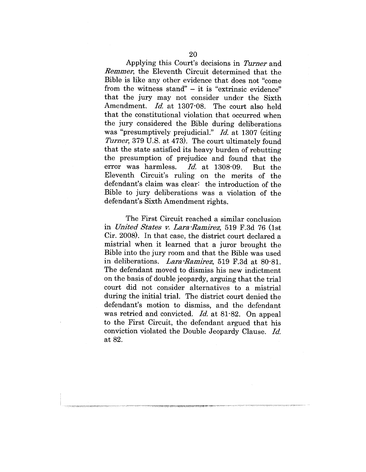Applying this Court's decisions in *Turner* and *Remmer*, the Eleventh Circuit determined that the Bible is like any other evidence that does not "come" from the witness stand" - it is "extrinsic evidence" that the jury may not consider under the Sixth Amendment. *Id.* at 1307-08. The court also held that the constitutional violation that occurred when the jury considered the Bible during deliberations was "presumptively prejudicial." *Id.* at 1307 (citing *Turner,* 379 U.S. at 473). The court ultimately found that the state satisfied its heavy burden of rebutting the presumption of prejudice and found that the error was harmless. *Id.* at 1308-09. But the Eleventh Circuit's ruling on the merits of the defendant's claim was clear: the introduction of the Bible to jury deliberations was a violation of the defendant's Sixth Amendment rights.

The First Circuit reached a similar conclusion in *United States v. Lara-Ramirez*, 519 F.3d 76 (1st) Cir. 2008). In that ease, the district court declared a mistrial when it learned that a juror brought the Bible into the jury room and that the Bible was used in deliberations. *Lara-Ramirez,* 519 F.3d at 80-81. The defendant moved to dismiss his new indictment on the basis of double jeopardy, arguing that the trial court did not consider alternatives to a mistrial during the initial trial. The district court denied the defendant's motion to dismiss, and the defendant was retried and convicted. *Id.* at 81-82. On appeal to the First Circuit, the defendant argued that his conviction violated the Double Jeopardy Clause. *Id.* at 82.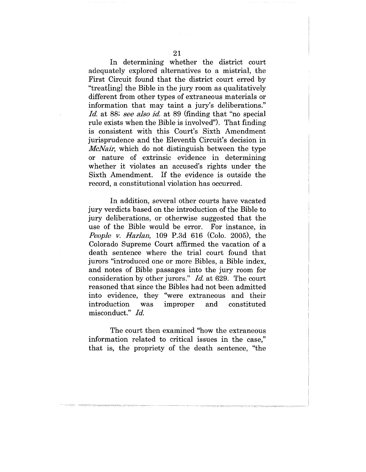In determining whether the district court adequately explored alternatives to a mistrial, the First Circuit found that the district court erred by "treat[ing] the Bible in the jury room as qualitatively different from other types of extraneous materials or information that may taint a jury's deliberations." *Id.* at 88; see also id. at 89 (finding that "no special rule exists when the Bible is involved"). That finding is consistent with this Court's Sixth Amendment jurisprudence and the Eleventh Circuit's decision in *McNair*, which do not distinguish between the type or nature of extrinsic evidence in determining whether it violates an accused's rights under the Sixth Amendment. If the evidence is outside the record, a constitutional violation has occurred.

In addition, several other courts have vacated jury verdicts based on the introduction of the Bible to jury deliberations, or otherwise suggested that the use of the Bible would be error. For instance, in *People v. Harlan,* 109 P.3d 616 (Colo. 2005), the Colorado Supreme Court affirmed the vacation of a death sentence where the trial court found that jurors "introduced one or more Bibles, a Bible index, and notes of Bible passages into the jury room for consideration by other jurors." *Id.* at 629. The court reasoned that since the Bibles had not been admitted into evidence, they "were extraneous and their introduction was improper and constituted misconduct." *Id.* 

The court then examined "how the extraneous information related to critical issues in the case," that is, the propriety of the death sentence, "the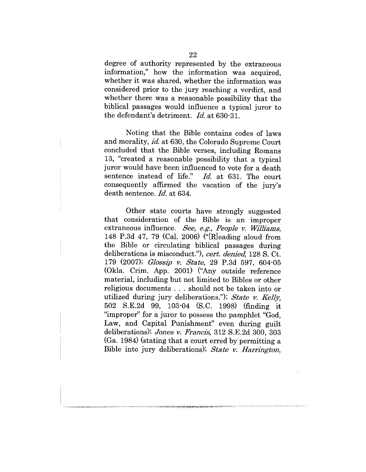degree of authority represented by the extraneous information," how the information was acquired, whether it was shared, whether the information was considered prior to the jury reaching a verdict, and whether there was a reasonable possibility that the biblical passages would influence a typical juror to the defendant's detriment. *Id.* at 630-31.

Noting that the Bible contains codes of laws and morality, *id.* at 630, the Colorado Supreme Court concluded that the Bible verses, including Romans 13, "created a reasonable possibility that a typical juror would have been influenced to vote for a death sentence instead of life." *Id.* at 631. The court consequently affirmed the vacation of the jury's death sentence. *Id.* at 634.

Other state courts have strongly suggested that consideration of the Bible is an improper extraneous influence. *See, e.g., People v. Williams*, 148 P.3d 47, 79 (Cal. 2006) ("[R]eading aloud from the Bible or circulating biblical passages during deliberations is misconduct."), *cert. denied,* 128 S. Ct. 179 (2007); *Glo~ip v. State,* 29 P.3d 597, 604-05 (Okla. Crim. App. 2001) ("Any outside reference material, including but not limited to Bibles or other religious documents . . . should not be taken into or utilized during jury deliberations."); *State v. Kelly,* 502 S.E.2d 99, 103-04 (S.C. 1998) (finding it "improper" for a juror to possess the pamphlet "God, Law, and Capital Punishment" even during guilt deliberations); *Jones v. Francis*, 312 S.E.2d 300, 303 (Ga. 1984) (stating that a court erred by permitting a Bible into jury deliberations); *State v. Harrington,*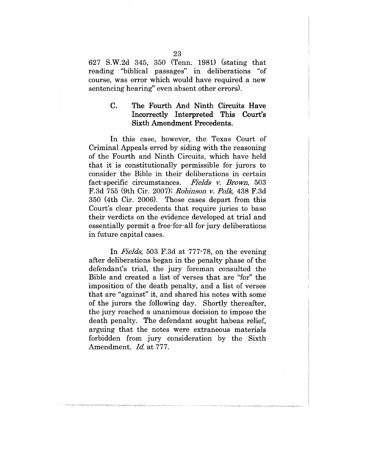627 S.W.2d 345, 350 (Tenn. 1981) (stating that reading "biblical passages" in deliberations "of course, was error which would have required a new sentencing hearing" even absent other errors).

#### $\overline{C}$ . **The** Fourth And Ninth Circuits Have Incorrectly Interpreted This Court's Sixth Amendment Precedents.

In this case, however, the Texas Court of Criminal Appeals erred by siding with the reasoning of the Fourth and Ninth Circuits, which have held that it is constitutionally permissible for jurors to consider the Bible in their deliberations in certain fact-specific circumstances. *Fields v. Brown*, 503 F.3d 755 (9th Cir. 2007); *Robinson v. Polk,* 438 F.3d 350 (4th Cir. 2006). Those cases depart from this Court's clear precedents that require juries to base their verdicts on the evidence developed at trial and essentially permit a free-for-all for jury deliberations in future capital cases.

In *Fields*, 503 F.3d at 777-78, on the evening after deliberations began in the penalty phase of the defendant's trial, the jury foreman consulted the Bible and created a list of verses that are "for" the imposition of the death penalty, and a list of verses that are "against" it, and shared his notes with some of the jurors the following day. Shortly thereafter, the jury reached a unanimous decision to impose the death penalty. The defendant sought habeas relief, arguing that the notes were extraneous materials forbidden from jury consideration by the Sixth Amendment. *Id.* at 777.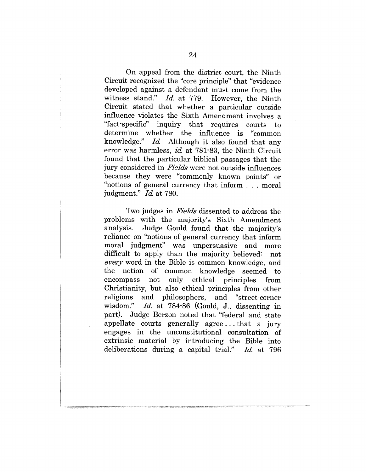On appeal from the district court, the Ninth Circuit recognized the "core principle" that "evidence developed against a defendant must come from the witness stand." *Id.* at 779. However, the Ninth Circuit stated that whether a particular outside influence violates the Sixth Amendment involves a "fact-specific" inquiry that requires courts to determine whether the influence is "common<br>knowledge."  $Id$ . Although it also found that any Id. Although it also found that any error was harmless, *id.* at 781-83, the Ninth Circuit found that the particular biblical passages that the jury considered in *Fields* were not outside influences because they were "commonly known points" or "notions of general currency that inform . . . moral judgment." *Id.* at 780.

Two judges in *Fields* dissented to address the problems with the majority's Sixth Amendment analysis. Judge Gould found that the majority's reliance on "notions of general currency that inform moral judgment" was unpersuasive and more difficult to apply than the majority believed: not *every* word in the Bible is common knowledge, and the notion of common knowledge seemed to encompass not only ethical principles from Christianity, but also ethical principles from other religions and philosophers, and "street-corner<br>wisdom." *Id.* at 784-86 (Gould, J., dissenting in Id. at 784-86 (Gould, J., dissenting in part). Judge Berzon noted that "federal and state appellate courts generally agree.., that a jury engages in the unconstitutional consultation of extrinsic material by introducing the Bible into deliberations during a capital trial." *Id.* at 796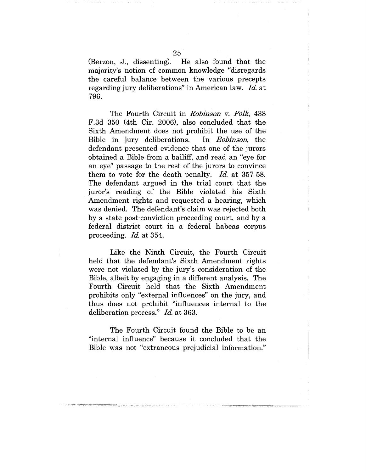(Berzon, J., dissenting). He also found that the majority's notion of common knowledge "disregards the careful balance between the various precepts regarding jury deliberations" in American law. *Id.* at 796.

The Fourth Circuit in *Robinson v. Polk*, 438 F.3d 350 (4th Cir. 2006), also concluded that the Sixth Amendment does not prohibit the use of the Bible in jury deliberations. In *Robinson,* the defendant presented evidence that one of the jurors obtained a Bible from a bailiff, and read an "eye for an eye" passage to the rest of the jurors to convince them to vote for the death penalty. *Id.* at 357-58. The defendant argued in the trial court that the juror's reading of the Bible violated his Sixth Amendment rights and requested a hearing, which was denied: The defendant's claim was rejected both by a state post-conviction proceeding court, and by a federal district court in a federal habeas corpus proceeding. *Id.* at 354.

Like the Ninth Circuit, the Fourth Circuit held that the defendant's Sixth Amendment rights were not violated by the jury's consideration of the Bible, albeit by engaging in a different analysis. The Fourth Circuit held that the Sixth Amendment prohibits only "external influences" on the jury, and thus does not prohibit "influences internal to the deliberation process." *Id.* at 363.

The Fourth Circuit found the Bible to be an "internal influence" because it concluded that the Bible was not "extraneous prejudicial information."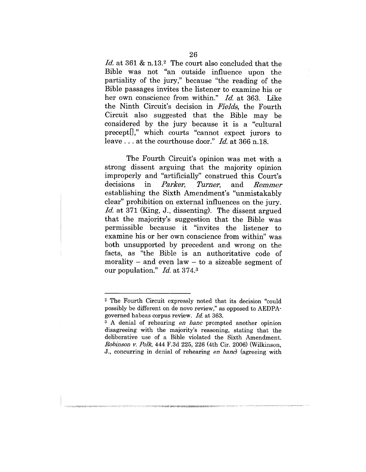Id. at 361 & n.13.<sup>2</sup> The court also concluded that the Bible was not "an outside influence upon the partiality of the jury," because "the reading of the Bible passages invites the listener to examine his or her own conscience from within." *Id.* at 363. Like the Ninth Circuit's decision in *Fields*, the Fourth Circuit also suggested that the Bible may be considered by the jury because it is a "cultural precept<sup>[]</sup>," which courts "cannot expect jurors to leave . . . at the courthouse door." *Id.* at 366 n.18.

The Fourth Circuit's opinion was met with a strong dissent arguing that the majority opinion improperly and "artificially" construed this Court's decisions in *Parker*, *Turner*, and Remmer establishing the Sixth Amendment's "unmistakably clear" prohibition on external influences on the jury. *Id.* at 371 (King, J.. dissenting). The dissent argued that the majority's suggestion that the Bible was permissible because it "invites the listener to examine his or her own conscience from within" was both unsupported by precedent and wrong on the facts, as "the Bible is an authoritative code of morality  $-$  and even law  $-$  to a sizeable segment of our population." *Id:* at 374.3

<sup>2</sup> The Fourth Circuit expressly noted that its decision "could possibly be different on de novo review," as opposed to AEDPAgoverned habeas corpus review. *Id* at 363.

<sup>&</sup>lt;sup>3</sup> A denial of rehearing *en banc* prompted another opinion disagreeing with the majority's reasoning, stating that the deliberative use of a Bible violated the Sixth Amendment. *Robinson v. Polk*, 444 F.3d 225, 226 (4th Cir. 2006) (Wilkinson, J., concurring in denial of rehearing *en banc*) (agreeing with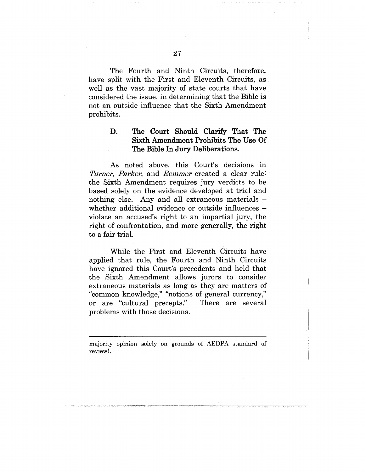The Fourth and Ninth Circuits, therefore, have split with the First and Eleventh Circuits, as well as the vast majority of state courts that have considered the issue, in determining that the Bible is not an outside influence that the Sixth Amendment prohibits.

# D. The Court Should Clarify That The Sixth Amendment Prohibits The Use Of The Bible In Jury Deliberations.

As noted above, this Court's decisions in *Turner, Parker,* and *Remmer* created a clear rule: the Sixth Amendment requires jury verdicts to be based solely on the evidence developed at trial and nothing else. Any and all extraneous materials whether additional evidence or outside influences  $$ violate an aecused's right to an impartial jury, the right of confrontation, and more generally, the right to a fair trial.

While the First and Eleventh Circuits have applied that rule, the Fourth and Ninth Circuits have ignored this Court's precedents and held that the Sixth Amendment allows jurors to consider extraneous materials as long as they are matters of "common knowledge," "notions of general currency," or are "cultural precepts." There are several problems with those decisions.

majority opinion solely on grounds of AEDPA standard of review).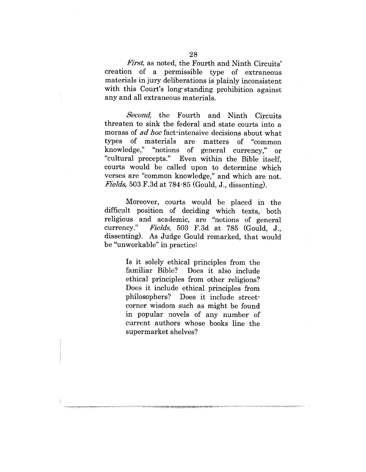*First,* as noted, the Fourth and Ninth Circuits' creation of a permissible type of extraneous materials in jury deliberations is plainly inconsistent with this Court's long-standing prohibition against any and all extraneous materials.

*Second,* the Fourth and Ninth Circuits threaten to sink the federal and state courts into a morass of *ad hoe* fact-intensive decisions about what types of materials are matters of "common knowledge," "notions of general currency," or "cultural precepts.'' Even within the Bible itself, courts would be called upon to determine which verses are "common knowledge," and which are not. *Fields,* 503 F.3d at 784-85 (Gould, J., dissenting).

Moreover, courts would be placed in the difficult position of deciding which texts, both religious and academic, are "notions of general currency." *Fie]ds,* 503 F.3d at 785 (Gould, J., dissenting). As Judge Gould remarked, that would be "unworkable" in practice:

> Is it solely ethical principles from the familiar Bible? Does it also include ethical principles from other religions? Does it include ethical principles from philosophers? Does it include streetcorner wisdom such as might be found in popular novels of any number of current authors whose books line the supermarket shelves?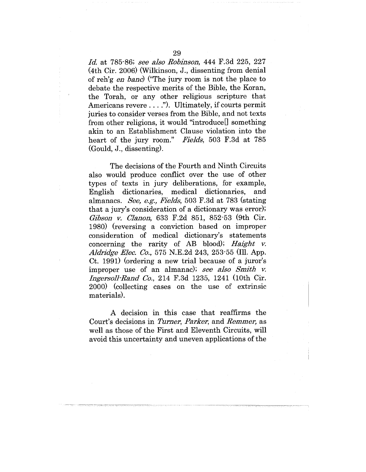*Id.* at 785-86; *see also Robinson,* 444 F.3d 225, 227 (4th Cir. 2006) (Wilkinson, J., dissenting from denial of reh'g *en bane)* ("The jury room is not the place to debate the respective merits of the Bible, the Koran, the Torah, or any other religious scripture that Americans revere ...."). Ultimately, if courts permit juries to consider verses from the Bible, and not texts from other religions, it would "introduce[] something akin to an Establishment Clause violation into the heart of the jury room." Fields, 503 F.3d at 785 heart of the jury room." (Gould, J., dissenting).

The decisions of the Fourth and Ninth Circuits also would produce conflict over the use of other types of texts in jury deliberations, for example, English dictionaries, medical dictionaries, and almanacs. *See, e.g., Fie]ds,* 503 F.3d at 783 (stating that a jury's consideration of a dictionary was error); *Gibson v. Clanon,* 633 F.2d 851, 852-53 (9th Cir. 1980) (reversing a conviction based on improper consideration of medical dictionary's statements concerning the rarity of AB blood); *Haight v. A]dridge Elec. Co.,* 575 N.E.2d 243, 253-55 (Ill. App. Ct. 1991) (ordering a new trial because of a juror's improper use of an almanac); *see also Smith v. Ingersoll-Rand Co.,* 214 F.3d 1235, 1241 (10th Cir. 2000) (collecting cases on the use of extrinsic materials).

A decision in this case that reaffirms the Court's decisions in *Turner, Parker,* and *Remmer,* as well as those of the First and Eleventh Circuits, will avoid this uncertainty and uneven applications of the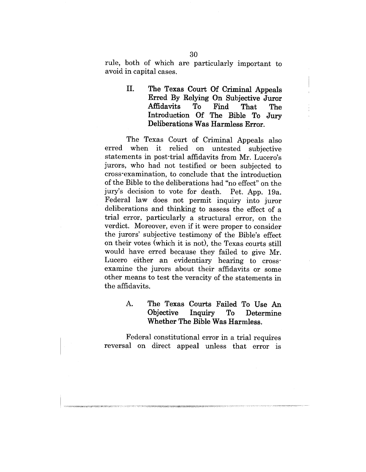rule, both of which are particularly important t avoid in capital cases.

> II. **The** Texas Court Of Criminal **Appeals Erred** By Relying On Subjective **Juror** Affidavits To Find That The Introduction Of The Bible To Jury Deliberations **Was Harmless** Error.

The Texas Court of Criminal Appeals also erred when it relied on untested subjective statements in post-trial affidavits from Mr. Lucero's jurors, who had not testified or been subjected to cross-examination, to conclude that the introduction of the Bible to the deliberations had "no effect" on the jury's decision to vote for death. Pet. App. 19a. Federal law does not permit inquiry into juror deliberations and thinking to assess the effect of a trial error, particularly a structural error, on the verdict. Moreover, even if it were proper to consider the jurors' subjective testimony of the Bible's effect on their votes (which it is not), the Texas courts still would have erred because they failed to give Mr. Lucero either an evidentiary hearing to crossexamine the jurors about their affidavits or some other means to test the veracity of the statements in the affidavits.

> A. **The Texas Courts Failed To Use An Objective Inquiry To Determine Whether The Bible Was Harmless.**

Federal constitutional error in a trial requires reversal on direct; appeal unless that error is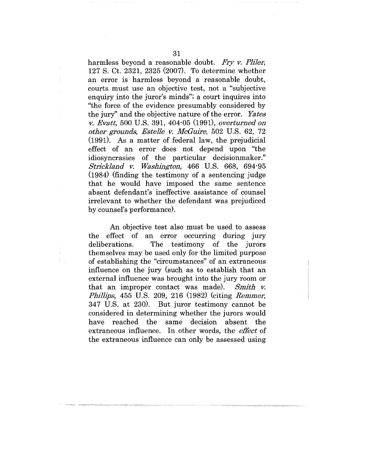harmless beyond a reasonable doubt. *Fry v. Pliler,* 127 S. Ct. 2321, 2325 (2007). To determine whether an error is harmless beyond a reasonable doubt, courts must use an objective test, not a "subjective enquiry into the juror's minds"; a court inquires into "the force of the evidence presumably considered by the jury" and the objective nature of the error. *Yates v. Evatt,* 500 U.S. 391, 404-05 (1991), *overturned on other grounds, Estelle v. McGuire,* 502 U.S. 62, 72 (1991). As a matter of federal law, the prejudicial effect of an error does not depend upon "the idiosyncrasies of the particular decisionmaker." *Striekland v. Washington,* 466 U.S. 668, 694-95 (1984) (finding the testimony of a sentencing judge that he would have imposed the same sentence absent defendant's ineffective assistance of counsel irrelevant to whether the defendant was prejudiced by counsel's performance).

An objective test also must be used to assess the effect of an error occurring during jury deliberations. The testimony of the jurors themselves may be used only for the limited purpose of establishing the "circumstances" of an extraneous influence on the jury (such as to establish that an external influence was brought into the jury room or that an improper contact was made). *Smith v. Phillips,* 455 U.S. 209, 216 (1982) (citing *Remmer,* 347 U.S. at 230). But juror testimony cannot be considered in determining whether the jurors would have reached the same decision absent the extraneous influence. In other words, the *effect* of the extraneous influence can only be assessed using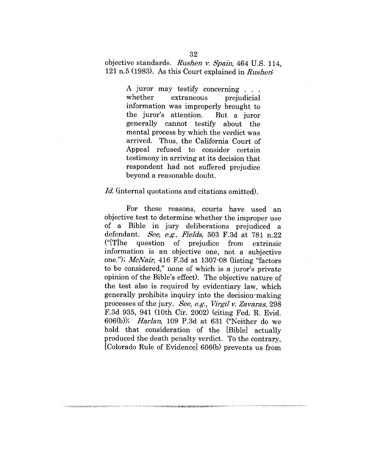objective standards. *Ru~hen v. Spain,* 464 U.S. 114,  $121 n.5 (1983)$ . As this Court explained in *Rushen*:

> A juror may testify concerning . . . whether extraneous prejudicial information was improperly brought to the juror's attention. But a juror generally cannot testify about the mental process by which the verdict was arrived. Thus, the California Court of Appeal refused to consider certain testimony in arriving at its decision that respondent had not suffered prejudice beyond a reasonable doubt.

#### *Id.* (internal quotations and citations omitted).

For these reasons, courts have used an objective test to determine whether the improper use of a Bible in jury deliberations prejudiced a defendant. *See, e.g., Fields*, 503 F.3d at 781 n.22  $("T]he$  question of prejudice from information is an objective one, not a subjective one."); *McNair*, 416 F.3d at 1307-08 (listing "factors to be considered," none of which is a juror's private opinion of the Bible's effect). The objective nature of the test also is required by evidentiary law, which generally prohibits inquiry into the decision-making processes of the jury. *See, e.g., Virgil v. Zavaras*, 298 F.3d 935, 941 (10th Cir. 2002) (citing Fed. R. Evid. 606(b)); *Harlan,* 109 P.3d at 631 ("Neither do we hold that consideration of the [Bible] actually produced the death penalty verdict. To the contrary, [Colorado Rule of Evidence] 606(b) prevents us from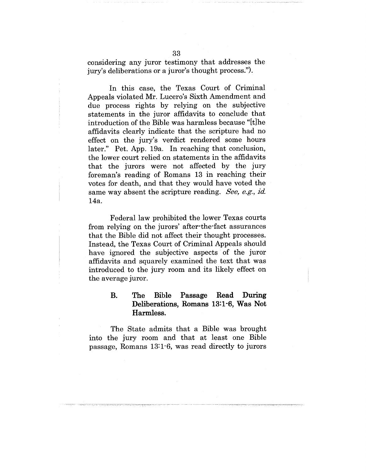considering any juror testimony that addresses the jury's deliberations or a juror's thought process.").

In this case, the Texas Court of Criminal Appeals violated Mr. Lucero's Sixth Amendment and due process rights by relying on the subjective statements in the juror affidavits to conclude that introduction of the Bible was harmless because "[t]he affidavits clearly indicate that the scripture had no effect on the jury's verdict rendered some hours later." Pet. App. 19a. In reaching that conclusion, the lower court relied on statements in the affidavits that the jurors were not affected by the jury foreman's reading of Romans 13 in reaching their votes for death, and that they would have voted the same way absent the scripture reading. *See, e.g'., id.* 14a.

Federal law prohibited the lower Texas courts from relying on the jurors' after-the-fact assurances that the Bible did not affect their thought processes. Instead, the Texas Court of Criminal Appeals should have ignored the subjective aspects of the juror affidavits and squarely examined the text that was introduced to the jury room and its likely effect on the average juror.

# B. The Bible Passage Read During **Deliberations, Romans 13:1-6, Was Not Harmless.**

The State admits that a Bible was brought into the jury room and that at least one Bible passage, Romans 13:1-6, was read directly to jurors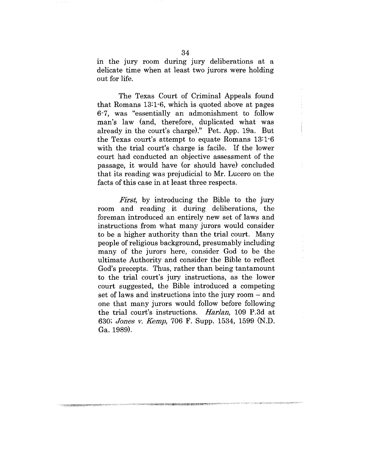in the jury room during jury deliberations at a delicate time when at least two jurors were holding out for life.

The Texas Court of Criminal Appeals found that Romans 13:1-6, which is quoted above at pages 6-7, was "essentially an admonishment to follow man's law (and, therefore, duplicated what was already in the court's charge)." Pet. App. 19a. But the Texas court's attempt to equate Romans 13:1-6 with the trial court's charge is facile. If the lower court had conducted an objective assessment of the passage, it would have (or should have) concluded that its reading was prejudicial to Mr. Lucero on the facts of this case in at least three respects.

*First,* by introducing the Bible to the jury room and reading it during deliberations, the foreman introduced, an entirely new set of laws and instructions from what many jurors would consider to be a higher authority than the trial court. Many people of religious background, presumably including many of the jurors here, consider God to be the ultimate Authority and consider the Bible to reflect God's precepts. Thus, rather than being tantamount to the trial court's jury instructions, as the lower court suggested, the Bible introduced a competing set of laws and instructions into the jury room – and one that many jurors would follow before following the trial court's instructions. *Harlan,* 109 P.3d at 630; *Jones v. Kemp*, 706 F. Supp. 1534, 1599 (N.D.) Ga. 1989).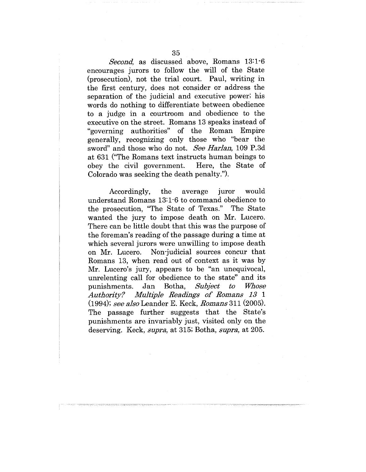*Second,* as discussed above, Romans 13:1-6 encourages jurors to follow the will of the State (prosecution), not the trial court. Paul, writing in the first century, does not consider or address the separation of the judicial and executive power; his words do nothing to differentiate between obedience to a judge in a courtroom and obedience to the executive on the street. Romans 13 speaks instead of "governing authorities" of the Roman Empire generally, recognizing only those who "bear the sword" and those who do not. *See Harlan,* 109 P.3d at 631 ("The Romans text instructs human beings to obey the civil government. Here, the State of Colorado was seeking the death penalty.").

would Accordingly, the average juror understand Romans 13:1-6 to command obedience to the prosecution, "The State of Texas." The State wanted the jury to impose death on Mr. Lucero. There can be little doubt that this was the purpose of the foreman's reading of the passage during a time at which several jurors were unwilling to impose death on Mr. Lucero. Non-judicial sources concur that Romans 13, when read out of context as it was by Mr. Lucero's jury, appears to be "an unequivocal, unrelenting call for obedience to the state" and its punishments. Jan Botha, *Subject to* Whose *Authority? Multiple Readings o£ Romans 13 1* (1994); *see also* Leander E. Keek, *Romans* 311 (2005). The passage further suggests that the State's punishments are invariably just, visited only on the deserving. Keck, supra, at 315; Botha, supra, at 205.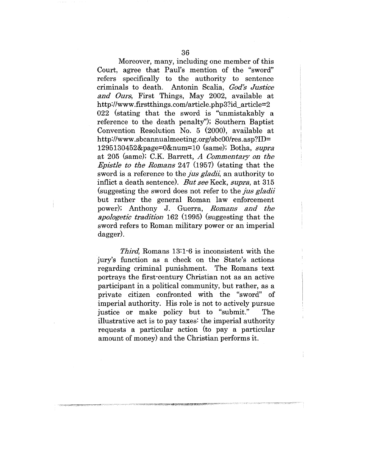Moreover, many, including one member of this Court, agree that Paul's mention of the "sword" refers specifically to the authority to sentence criminals to death.. Antonin Scalia, *God's Justice* and Ours, First Things, May 2002, available at *http:]/www.firstthings.com/article.php3?id\_article=2* 022 (stating that the sword is "unmistakably a reference to the death penalty"); Southern Baptist Convention Resolution No.  $5$  (2000), available at *http://www.sbcannualmeeting.org/sbcOO/res.asp?ID=* 1295130452&page=0&num=10 (same); Botha, supra at 205 (same); C.K. Barrett, *A Commentary on the Epistle to the Romans* 247 (1957) (stating that the sword is a reference to the *jus gladii*, an authority to inflict a death sentence). *But see* Keck, *supra,* at 315 (suggesting the sword does not refer to the *jus gladii* but rather the general Roman law enforcement power); Anthony J. Guerra, *Romans and the* apologetic tradition 162 (1995) (suggesting that the sword refers to Roman military power or an imperial dagger).

*Third,* Romans 13:1-6 is inconsistent with the jury's function as a check on the State's actions regarding criminal punishment. The Romans text portrays the first-century Christian not as an active participant in a political community, but rather, as a private citizen confronted with the "sword" of imperial authority. His role is not to actively pursue justice or make policy but to "submit." The illustrative act is to pay taxes: the imperial authority requests a particular action (to pay a particular amount of money) and the Christian performs it.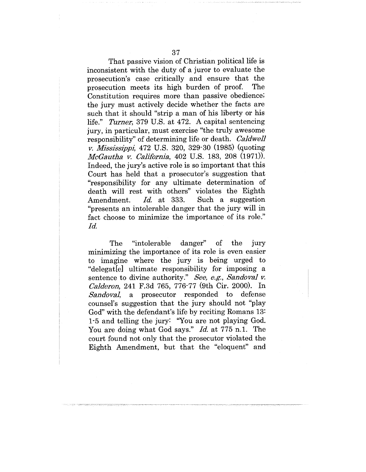That passive vision of Christian political life is inconsistent with the duty of a juror to evaluate the prosecution's case critically and ensure that the prosecution meets its high burden of proof. The Constitution requires more than passive obedience; the jury must actively decide whether the facts are such that it should "strip a man of his liberty or his life." *Turner,* 379 U.S. at 472. A capital sentencing jury, in particular, must exercise "the truly awesome responsibility" of determining life or death. *Caldwell v. Mississippi*, 472 U.S. 320, 329-30 (1985) (quoting *McGautha v. California,* 402 U.S. 183, 208 (1971)). Indeed, the jury's active role is so important that this Court has held that a prosecutor's suggestion that "responsibility for any ultimate determination of death will rest with others" violates the Eighth Amendment. *Id.* at 333. Such a suggestion "presents an intolerable danger that the jury will in fact choose to minimize the importance of its role." *Id.*

The "intolerable danger" of the jury minimizing the importance of its role is even easier to imagine where the jury is being urged to "delegat[e] ultimate responsibility for imposing a sentence to divine authority." *See, e.g'., Sandoval v. Calderon*, 241 F.3d 765, 776-77 (9th Cir. 2000). In Sandoval, a prosecutor responded to defense *,~andova],* a prosecutor responded to defense counsel's suggestion that the jury should not "play God" with the defendant's life by reciting Romans 13: 1-5 and telling the jury: 'You are not playing God. You are doing what God says." *Id.* at 775 n.1. The court found not only that the prosecutor violated the Eighth Amendment, but that the "eloquent" and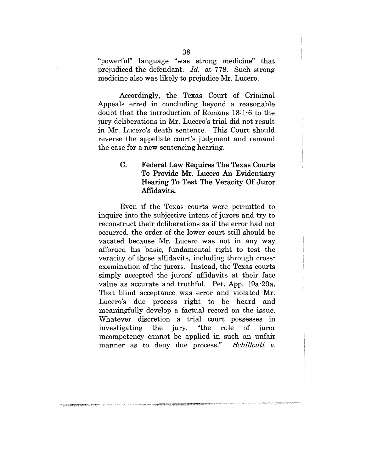"powerful" language "was strong medicine" that prejudiced the defendant. *Id.* at 778. Such strong medicine also was likely to prejudice Mr. Lucero.

Accordingly, the Texas Court of Criminal Appeals erred in concluding beyond a reasonable doubt that the introduction of Romans 13:1-6 to the jury deliberations in Mr. Lucero's trial did not result in Mr. Lucero's death sentence. This Court should reverse the appellate court's judgment and remand the case for a new sentencing hearing.

#### $C_{\cdot}$ Federal Law Requires The Texas Courts To Provide Mr. Lucero An Evidentiary Hearing To Test The Veracity Of Juror Affidavits.

Even if the Texas courts were permitted to inquire into the subjective intent of jurors and try to reconstruct their deliberations as if the error had not occurred, the order of the lower court still should be vacated because Mr. Lucero was not in any way afforded his basic, fundamental right to test the veracity of those affidavits, including through crossexamination of the jurors. Instead, the Texas courts simply accepted the jurors' affidavits at their face value as accurate and truthful. Pet. App. 19a-20a. That blind acceptance was error and violated Mr. Lucero's due process right to be heard and meaningfully develop a factual record on the issue. Whatever discretion a trial court possesses in<br>investigating the jury, "the rule of juror investigating the jury, "the rule  $\mathbf{f}$ iuror incompetency cannot be applied in such an unfair manner as to deny due process." *Schillcutt v.*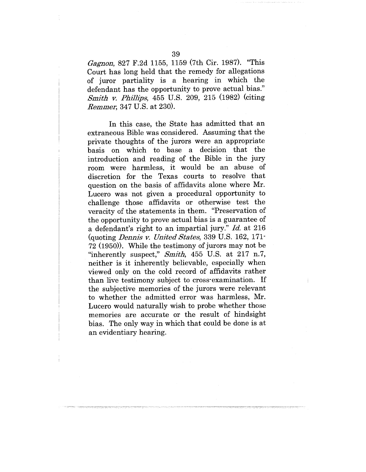*Gagnon,* 827 F.2d 1155, 1159 (7th Cir. 1987). "This Court has long held that the remedy for allegations of juror partiality is a hearing in which the defendant has the opportunity to prove actual bias." *Smith v. Phillips,* 455 U.S. 209, 215 (1982) (citing *Remmer,* 347 U.S. at 230).

In this case, the State has admitted that an extraneous Bible was considered. Assuming that the private thoughts of the jurors were an appropriate basis on which to base a decision that the introduction and reading of the Bible in the jury room were harmless, it would be an abuse of discretion for the Texas courts to resolve that question on the basis of affidavits alone where Mr. Lucero was not given a procedural opportunity to challenge those affidavits or otherwise test the veracity of the statements in them. "Preservation of the opportunity to prove actual bias is a guarantee of a defendant's right to an impartial jury." *Id.* at 216 (quoting *Dennis v. United States*, 339 U.S. 162, 171<sup>-1</sup> 72 (1950)). While the testimony of jurors may not be "inherently suspect," *Smith,* 455 U.S: at 217 n.7, neither is it inherently believable, especially when viewed only on the cold record of affidavits rather than live testimony subject to cross-examination. If the subjective memories of the jurors were relevant to whether the admitted error was harmless, Mr. Lucero would naturally wish to probe whether those memories are accurate or the result of hindsight bias. The only way in which that could be done is at an evidentiary hearing.